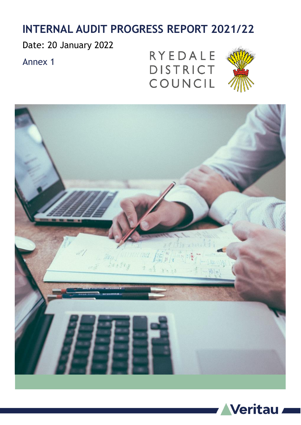## **INTERNAL AUDIT PROGRESS REPORT 2021/22**

Date: 20 January 2022

Annex 1

RYEDALE DISTRICT COUNCIL





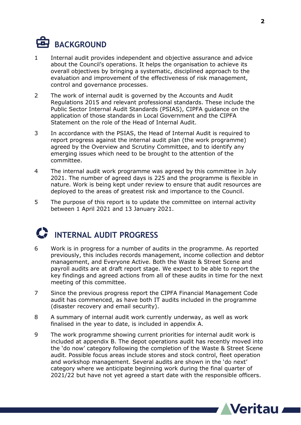# **BACKGROUND**

- 1 Internal audit provides independent and objective assurance and advice about the Council's operations. It helps the organisation to achieve its overall objectives by bringing a systematic, disciplined approach to the evaluation and improvement of the effectiveness of risk management, control and governance processes.
- 2 The work of internal audit is governed by the Accounts and Audit Regulations 2015 and relevant professional standards. These include the Public Sector Internal Audit Standards (PSIAS), CIPFA guidance on the application of those standards in Local Government and the CIPFA Statement on the role of the Head of Internal Audit.
- 3 In accordance with the PSIAS, the Head of Internal Audit is required to report progress against the internal audit plan (the work programme) agreed by the Overview and Scrutiny Committee, and to identify any emerging issues which need to be brought to the attention of the committee.
- 4 The internal audit work programme was agreed by this committee in July 2021. The number of agreed days is 225 and the programme is flexible in nature. Work is being kept under review to ensure that audit resources are deployed to the areas of greatest risk and importance to the Council.
- 5 The purpose of this report is to update the committee on internal activity between 1 April 2021 and 13 January 2021.

# **INTERNAL AUDIT PROGRESS**

- 6 Work is in progress for a number of audits in the programme. As reported previously, this includes records management, income collection and debtor management, and Everyone Active. Both the Waste & Street Scene and payroll audits are at draft report stage. We expect to be able to report the key findings and agreed actions from all of these audits in time for the next meeting of this committee.
- 7 Since the previous progress report the CIPFA Financial Management Code audit has commenced, as have both IT audits included in the programme (disaster recovery and email security).
- 8 A summary of internal audit work currently underway, as well as work finalised in the year to date, is included in appendix A.
- 9 The work programme showing current priorities for internal audit work is included at appendix B. The depot operations audit has recently moved into the 'do now' category following the completion of the Waste & Street Scene audit. Possible focus areas include stores and stock control, fleet operation and workshop management. Several audits are shown in the 'do next' category where we anticipate beginning work during the final quarter of 2021/22 but have not yet agreed a start date with the responsible officers.

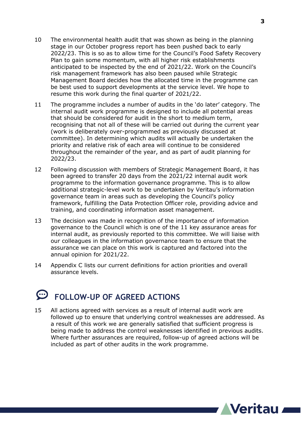- 10 The environmental health audit that was shown as being in the planning stage in our October progress report has been pushed back to early 2022/23. This is so as to allow time for the Council's Food Safety Recovery Plan to gain some momentum, with all higher risk establishments anticipated to be inspected by the end of 2021/22. Work on the Council's risk management framework has also been paused while Strategic Management Board decides how the allocated time in the programme can be best used to support developments at the service level. We hope to resume this work during the final quarter of 2021/22.
- 11 The programme includes a number of audits in the 'do later' category. The internal audit work programme is designed to include all potential areas that should be considered for audit in the short to medium term, recognising that not all of these will be carried out during the current year (work is deliberately over-programmed as previously discussed at committee). In determining which audits will actually be undertaken the priority and relative risk of each area will continue to be considered throughout the remainder of the year, and as part of audit planning for 2022/23.
- 12 Following discussion with members of Strategic Management Board, it has been agreed to transfer 20 days from the 2021/22 internal audit work programme to the information governance programme. This is to allow additional strategic-level work to be undertaken by Veritau's information governance team in areas such as developing the Council's policy framework, fulfilling the Data Protection Officer role, providing advice and training, and coordinating information asset management.
- 13 The decision was made in recognition of the importance of information governance to the Council which is one of the 11 key assurance areas for internal audit, as previously reported to this committee. We will liaise with our colleagues in the information governance team to ensure that the assurance we can place on this work is captured and factored into the annual opinion for 2021/22.
- 14 Appendix C lists our current definitions for action priorities and overall assurance levels.

## **FOLLOW-UP OF AGREED ACTIONS**

15 All actions agreed with services as a result of internal audit work are followed up to ensure that underlying control weaknesses are addressed. As a result of this work we are generally satisfied that sufficient progress is being made to address the control weaknesses identified in previous audits. Where further assurances are required, follow-up of agreed actions will be included as part of other audits in the work programme.

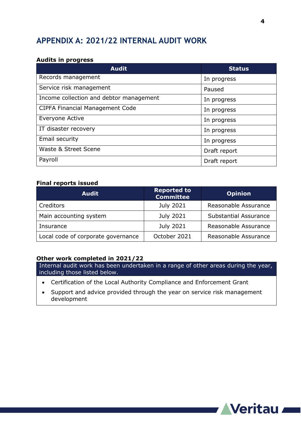### **APPENDIX A: 2021/22 INTERNAL AUDIT WORK**

#### **Audits in progress**

| <b>Audit</b>                            | <b>Status</b> |
|-----------------------------------------|---------------|
| Records management                      | In progress   |
| Service risk management                 | Paused        |
| Income collection and debtor management | In progress   |
| <b>CIPFA Financial Management Code</b>  | In progress   |
| Everyone Active                         | In progress   |
| IT disaster recovery                    | In progress   |
| Email security                          | In progress   |
| Waste & Street Scene                    | Draft report  |
| Payroll                                 | Draft report  |

#### **Final reports issued**

| <b>Audit</b>                       | <b>Reported to</b><br><b>Committee</b> | <b>Opinion</b>               |
|------------------------------------|----------------------------------------|------------------------------|
| Creditors                          | July 2021                              | Reasonable Assurance         |
| Main accounting system             | July 2021                              | <b>Substantial Assurance</b> |
| Insurance                          | July 2021                              | Reasonable Assurance         |
| Local code of corporate governance | October 2021                           | Reasonable Assurance         |

#### **Other work completed in 2021/22**

Internal audit work has been undertaken in a range of other areas during the year, including those listed below.

- Certification of the Local Authority Compliance and Enforcement Grant
- Support and advice provided through the year on service risk management development

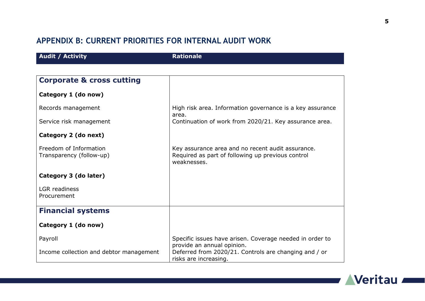## **APPENDIX B: CURRENT PRIORITIES FOR INTERNAL AUDIT WORK**

| <b>Audit / Activity</b>                            | <b>Rationale</b>                                                                                                      |
|----------------------------------------------------|-----------------------------------------------------------------------------------------------------------------------|
|                                                    |                                                                                                                       |
| <b>Corporate &amp; cross cutting</b>               |                                                                                                                       |
| Category 1 (do now)                                |                                                                                                                       |
| Records management                                 | High risk area. Information governance is a key assurance<br>area.                                                    |
| Service risk management                            | Continuation of work from 2020/21. Key assurance area.                                                                |
| Category 2 (do next)                               |                                                                                                                       |
| Freedom of Information<br>Transparency (follow-up) | Key assurance area and no recent audit assurance.<br>Required as part of following up previous control<br>weaknesses. |
| Category 3 (do later)                              |                                                                                                                       |
| <b>LGR</b> readiness<br>Procurement                |                                                                                                                       |
| <b>Financial systems</b>                           |                                                                                                                       |
| Category 1 (do now)                                |                                                                                                                       |
| Payroll                                            | Specific issues have arisen. Coverage needed in order to<br>provide an annual opinion.                                |
| Income collection and debtor management            | Deferred from 2020/21. Controls are changing and / or<br>risks are increasing.                                        |

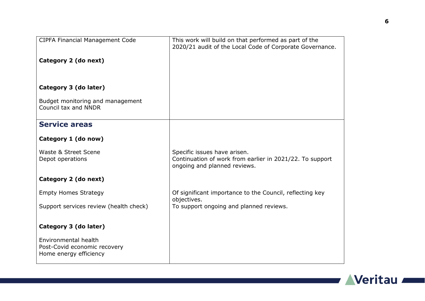| CIPFA Financial Management Code        | This work will build on that performed as part of the    |
|----------------------------------------|----------------------------------------------------------|
|                                        | 2020/21 audit of the Local Code of Corporate Governance. |
|                                        |                                                          |
| Category 2 (do next)                   |                                                          |
|                                        |                                                          |
|                                        |                                                          |
|                                        |                                                          |
| Category 3 (do later)                  |                                                          |
|                                        |                                                          |
|                                        |                                                          |
| Budget monitoring and management       |                                                          |
| Council tax and NNDR                   |                                                          |
|                                        |                                                          |
| <b>Service areas</b>                   |                                                          |
|                                        |                                                          |
|                                        |                                                          |
| Category 1 (do now)                    |                                                          |
|                                        |                                                          |
| Waste & Street Scene                   | Specific issues have arisen.                             |
| Depot operations                       | Continuation of work from earlier in 2021/22. To support |
|                                        | ongoing and planned reviews.                             |
|                                        |                                                          |
| Category 2 (do next)                   |                                                          |
|                                        |                                                          |
| <b>Empty Homes Strategy</b>            | Of significant importance to the Council, reflecting key |
|                                        | objectives.                                              |
| Support services review (health check) | To support ongoing and planned reviews.                  |
|                                        |                                                          |
|                                        |                                                          |
|                                        |                                                          |
| Category 3 (do later)                  |                                                          |
|                                        |                                                          |
| Environmental health                   |                                                          |
| Post-Covid economic recovery           |                                                          |
| Home energy efficiency                 |                                                          |
|                                        |                                                          |

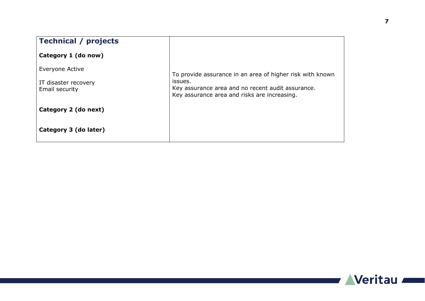| <b>Technical / projects</b>            |                                                                                                              |
|----------------------------------------|--------------------------------------------------------------------------------------------------------------|
| Category 1 (do now)                    |                                                                                                              |
| Everyone Active                        | To provide assurance in an area of higher risk with known                                                    |
| IT disaster recovery<br>Email security | issues.<br>Key assurance area and no recent audit assurance.<br>Key assurance area and risks are increasing. |
| Category 2 (do next)                   |                                                                                                              |
| Category 3 (do later)                  |                                                                                                              |